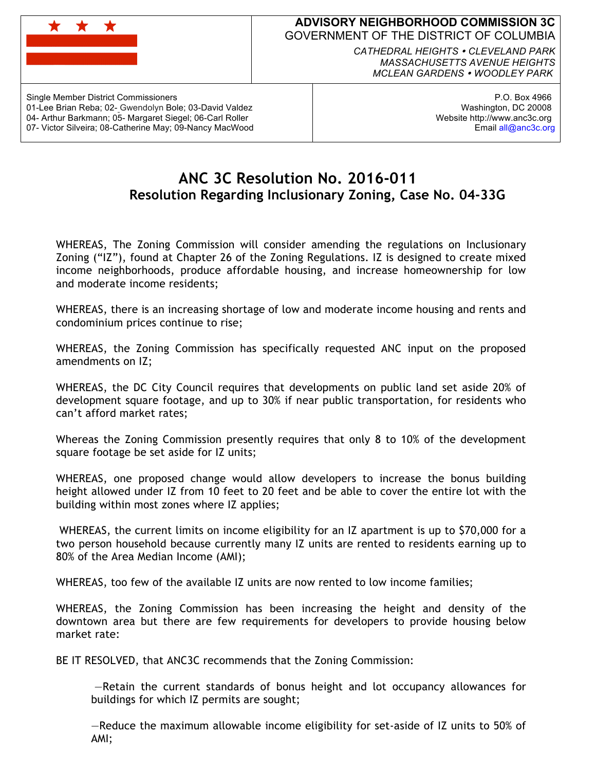

## **ADVISORY NEIGHBORHOOD COMMISSION 3C** GOVERNMENT OF THE DISTRICT OF COLUMBIA

*CATHEDRAL HEIGHTS CLEVELAND PARK MASSACHUSETTS AVENUE HEIGHTS MCLEAN GARDENS WOODLEY PARK*

Single Member District Commissioners 01-Lee Brian Reba; 02- Gwendolyn Bole; 03-David Valdez 04- Arthur Barkmann; 05- Margaret Siegel; 06-Carl Roller 07- Victor Silveira; 08-Catherine May; 09-Nancy MacWood

P.O. Box 4966 Washington, DC 20008 Website http://www.anc3c.org Email all@anc3c.org

## **ANC 3C Resolution No. 2016-011 Resolution Regarding Inclusionary Zoning, Case No. 04-33G**

WHEREAS, The Zoning Commission will consider amending the regulations on Inclusionary Zoning ("IZ"), found at Chapter 26 of the Zoning Regulations. IZ is designed to create mixed income neighborhoods, produce affordable housing, and increase homeownership for low and moderate income residents;

WHEREAS, there is an increasing shortage of low and moderate income housing and rents and condominium prices continue to rise;

WHEREAS, the Zoning Commission has specifically requested ANC input on the proposed amendments on IZ;

WHEREAS, the DC City Council requires that developments on public land set aside 20% of development square footage, and up to 30% if near public transportation, for residents who can't afford market rates;

Whereas the Zoning Commission presently requires that only 8 to 10% of the development square footage be set aside for IZ units;

WHEREAS, one proposed change would allow developers to increase the bonus building height allowed under IZ from 10 feet to 20 feet and be able to cover the entire lot with the building within most zones where IZ applies;

WHEREAS, the current limits on income eligibility for an IZ apartment is up to \$70,000 for a two person household because currently many IZ units are rented to residents earning up to 80% of the Area Median Income (AMI);

WHEREAS, too few of the available IZ units are now rented to low income families;

WHEREAS, the Zoning Commission has been increasing the height and density of the downtown area but there are few requirements for developers to provide housing below market rate:

BE IT RESOLVED, that ANC3C recommends that the Zoning Commission:

—Retain the current standards of bonus height and lot occupancy allowances for buildings for which IZ permits are sought;

—Reduce the maximum allowable income eligibility for set-aside of IZ units to 50% of AMI;